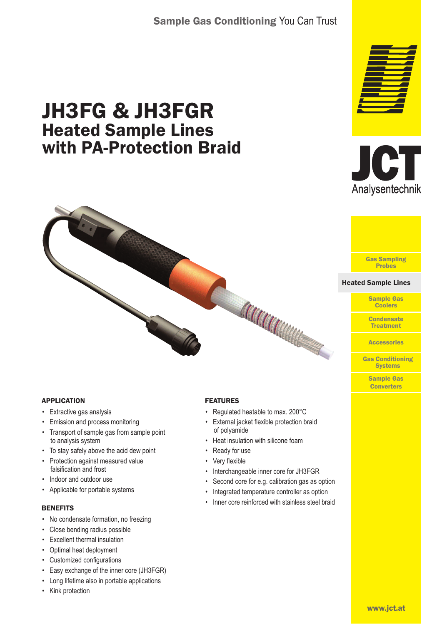# Sample Gas Conditioning You Can Trust

# JH3FG & JH3FGR Heated Sample Lines with PA-Protection Braid







#### Heated Sample Lines Heated Sample Lines

Sample Gas **Coolers** 

**Condensate Treatment** 

**Accessories** 

Gas Conditioning **Systems** 

> Sample Gas **Converters**

#### APPLICATION

- Extractive gas analysis
- Emission and process monitoring
- Transport of sample gas from sample point to analysis system
- To stay safely above the acid dew point
- Protection against measured value falsification and frost
- Indoor and outdoor use
- Applicable for portable systems

#### **BENEFITS**

- No condensate formation, no freezing
- Close bending radius possible
- Excellent thermal insulation
- Optimal heat deployment
- Customized configurations
- Easy exchange of the inner core (JH3FGR)
- Long lifetime also in portable applications
- Kink protection

#### FEATURES

- Regulated heatable to max. 200°C
- External jacket flexible protection braid of polyamide

Carrier

- Heat insulation with silicone foam
- Ready for use
- Very flexible
- Interchangeable inner core for JH3FGR
- Second core for e.g. calibration gas as option
- Integrated temperature controller as option
- Inner core reinforced with stainless steel braid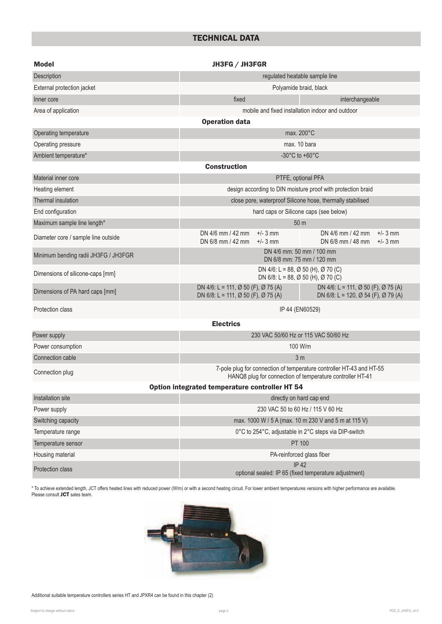## TECHNICAL DATA

| <b>Model</b>                         | JH3FG / JH3FGR                                                                                                                                           |                                                                       |  |  |  |  |  |  |  |  |  |  |
|--------------------------------------|----------------------------------------------------------------------------------------------------------------------------------------------------------|-----------------------------------------------------------------------|--|--|--|--|--|--|--|--|--|--|
| Description                          | regulated heatable sample line                                                                                                                           |                                                                       |  |  |  |  |  |  |  |  |  |  |
| External protection jacket           | Polyamide braid, black                                                                                                                                   |                                                                       |  |  |  |  |  |  |  |  |  |  |
| Inner core                           | fixed                                                                                                                                                    | interchangeable                                                       |  |  |  |  |  |  |  |  |  |  |
| Area of application                  |                                                                                                                                                          | mobile and fixed installation indoor and outdoor                      |  |  |  |  |  |  |  |  |  |  |
|                                      | <b>Operation data</b>                                                                                                                                    |                                                                       |  |  |  |  |  |  |  |  |  |  |
| Operating temperature                | max. 200°C                                                                                                                                               |                                                                       |  |  |  |  |  |  |  |  |  |  |
| Operating pressure                   | max. 10 bara                                                                                                                                             |                                                                       |  |  |  |  |  |  |  |  |  |  |
| Ambient temperature*                 | -30 $^{\circ}$ C to +60 $^{\circ}$ C                                                                                                                     |                                                                       |  |  |  |  |  |  |  |  |  |  |
| <b>Construction</b>                  |                                                                                                                                                          |                                                                       |  |  |  |  |  |  |  |  |  |  |
| Material inner core                  |                                                                                                                                                          | PTFE, optional PFA                                                    |  |  |  |  |  |  |  |  |  |  |
| Heating element                      | design according to DIN moisture proof with protection braid                                                                                             |                                                                       |  |  |  |  |  |  |  |  |  |  |
| Thermal insulation                   |                                                                                                                                                          | close pore, waterproof Silicone hose, thermally stabilised            |  |  |  |  |  |  |  |  |  |  |
| End configuration                    |                                                                                                                                                          | hard caps or Silicone caps (see below)                                |  |  |  |  |  |  |  |  |  |  |
| Maximum sample line length*          |                                                                                                                                                          | 50 <sub>m</sub>                                                       |  |  |  |  |  |  |  |  |  |  |
| Diameter core / sample line outside  | DN $4/6$ mm $/42$ mm<br>$+/- 3$ mm<br>DN 6/8 mm / 42 mm<br>$+/- 3$ mm                                                                                    | $+/-$ 3 mm<br>DN $4/6$ mm $/42$ mm<br>DN 6/8 mm / 48 mm<br>$+/-$ 3 mm |  |  |  |  |  |  |  |  |  |  |
| Minimum bending radii JH3FG / JH3FGR | DN 4/6 mm: 50 mm / 100 mm<br>DN 6/8 mm: 75 mm / 120 mm                                                                                                   |                                                                       |  |  |  |  |  |  |  |  |  |  |
| Dimensions of silicone-caps [mm]     | DN 4/6: L = 88, Ø 50 (H), Ø 70 (C)<br>DN 6/8: L = 88, Ø 50 (H), Ø 70 (C)                                                                                 |                                                                       |  |  |  |  |  |  |  |  |  |  |
| Dimensions of PA hard caps [mm]      | DN 4/6: L = 111, Ø 50 (F), Ø 75 (A)<br>DN 4/6: L = 111, Ø 50 (F), Ø 75 (A)<br>DN 6/8: L = 111, Ø 50 (F), Ø 75 (A)<br>DN 6/8: L = 120, Ø 54 (F), Ø 79 (A) |                                                                       |  |  |  |  |  |  |  |  |  |  |
| Protection class                     | IP 44 (EN60529)                                                                                                                                          |                                                                       |  |  |  |  |  |  |  |  |  |  |
| <b>Electrics</b>                     |                                                                                                                                                          |                                                                       |  |  |  |  |  |  |  |  |  |  |
| Power supply                         | 230 VAC 50/60 Hz or 115 VAC 50/60 Hz                                                                                                                     |                                                                       |  |  |  |  |  |  |  |  |  |  |
| Power consumption                    | 100 W/m                                                                                                                                                  |                                                                       |  |  |  |  |  |  |  |  |  |  |
| Connection cable                     | 3 <sub>m</sub>                                                                                                                                           |                                                                       |  |  |  |  |  |  |  |  |  |  |
| Connection plug                      | 7-pole plug for connection of temperature controller HT-43 and HT-55<br>HANQ8 plug for connection of temperature controller HT-41                        |                                                                       |  |  |  |  |  |  |  |  |  |  |
|                                      | Option integrated temperature controller HT 54                                                                                                           |                                                                       |  |  |  |  |  |  |  |  |  |  |
| Installation site                    | directly on hard cap end                                                                                                                                 |                                                                       |  |  |  |  |  |  |  |  |  |  |
| Power supply                         | 230 VAC 50 to 60 Hz / 115 V 60 Hz                                                                                                                        |                                                                       |  |  |  |  |  |  |  |  |  |  |
| Switching capacity                   | max. 1000 W / 5 A (max. 10 m 230 V and 5 m at 115 V)                                                                                                     |                                                                       |  |  |  |  |  |  |  |  |  |  |
| Temperature range                    | 0°C to 254°C, adjustable in 2°C steps via DIP-switch                                                                                                     |                                                                       |  |  |  |  |  |  |  |  |  |  |
| Temperature sensor                   | PT 100                                                                                                                                                   |                                                                       |  |  |  |  |  |  |  |  |  |  |
| Housing material                     | PA-reinforced glass fiber                                                                                                                                |                                                                       |  |  |  |  |  |  |  |  |  |  |
| Protection class                     | <b>IP42</b><br>optional sealed: IP 65 (fixed temperature adjustment)                                                                                     |                                                                       |  |  |  |  |  |  |  |  |  |  |

\* To achieve extended length, JCT offers heated lines with reduced power (W/m) or with a second heating circuit. For lower ambient temperatures versions with higher performance are available. Please consult **JCT** sales team.



Additional suitable temperature controllers series HT and JPXR4 can be found in this chapter (2)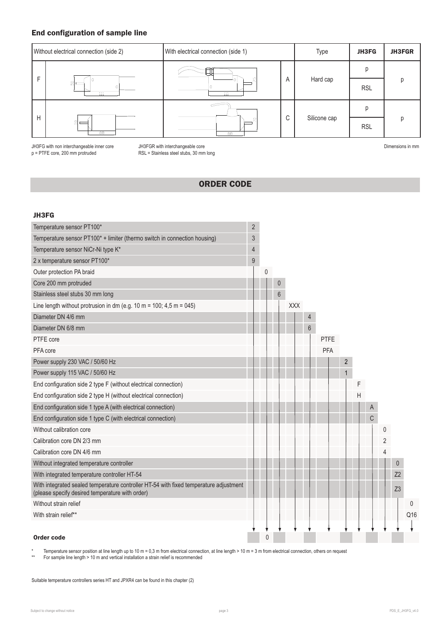## End configuration of sample line



JH3FG with non interchangeable inner core JH3FGR with interchangeable core

p = PTFE core, 200 mm protruded RSL = Stainless steel stubs, 30 mm long

Dimensions in mm

## ORDER CODE

#### JH3FG

| Temperature sensor PT100*                                                                                                                | $\overline{2}$ |   |       |     |                |             |                |   |   |                |                |     |
|------------------------------------------------------------------------------------------------------------------------------------------|----------------|---|-------|-----|----------------|-------------|----------------|---|---|----------------|----------------|-----|
| Temperature sensor PT100* + limiter (thermo switch in connection housing)                                                                | $\sqrt{3}$     |   |       |     |                |             |                |   |   |                |                |     |
| Temperature sensor NiCr-Ni type K*                                                                                                       | 4              |   |       |     |                |             |                |   |   |                |                |     |
| 2 x temperature sensor PT100*                                                                                                            | 9              |   |       |     |                |             |                |   |   |                |                |     |
| Outer protection PA braid                                                                                                                |                | 0 |       |     |                |             |                |   |   |                |                |     |
| Core 200 mm protruded                                                                                                                    |                |   | 0     |     |                |             |                |   |   |                |                |     |
| Stainless steel stubs 30 mm long                                                                                                         |                |   | $6\,$ |     |                |             |                |   |   |                |                |     |
| Line length without protrusion in dm (e.g. 10 m = 100; 4,5 m = 045)                                                                      |                |   |       | XXX |                |             |                |   |   |                |                |     |
| Diameter DN 4/6 mm                                                                                                                       |                |   |       |     | 4              |             |                |   |   |                |                |     |
| Diameter DN 6/8 mm                                                                                                                       |                |   |       |     | $6\phantom{1}$ |             |                |   |   |                |                |     |
| PTFE core                                                                                                                                |                |   |       |     |                | <b>PTFE</b> |                |   |   |                |                |     |
| PFA core                                                                                                                                 |                |   |       |     |                | <b>PFA</b>  |                |   |   |                |                |     |
| Power supply 230 VAC / 50/60 Hz                                                                                                          |                |   |       |     |                |             | $\overline{2}$ |   |   |                |                |     |
| Power supply 115 VAC / 50/60 Hz                                                                                                          |                |   |       |     |                |             | 1              |   |   |                |                |     |
| End configuration side 2 type F (without electrical connection)                                                                          |                |   |       |     |                |             |                | F |   |                |                |     |
| End configuration side 2 type H (without electrical connection)                                                                          |                |   |       |     |                |             |                | Н |   |                |                |     |
| End configuration side 1 type A (with electrical connection)                                                                             |                |   |       |     |                |             |                |   | Α |                |                |     |
| End configuration side 1 type C (with electrical connection)                                                                             |                |   |       |     |                |             |                |   | C |                |                |     |
| Without calibration core                                                                                                                 |                |   |       |     |                |             |                |   |   | 0              |                |     |
| Calibration core DN 2/3 mm                                                                                                               |                |   |       |     |                |             |                |   |   | $\overline{2}$ |                |     |
| Calibration core DN 4/6 mm                                                                                                               |                |   |       |     |                |             |                |   |   | 4              |                |     |
| Without integrated temperature controller                                                                                                |                |   |       |     |                |             |                |   |   |                | $\theta$       |     |
| With integrated temperature controller HT-54                                                                                             |                |   |       |     |                |             |                |   |   |                | Z <sub>2</sub> |     |
| With integrated sealed temperature controller HT-54 with fixed temperature adjustment<br>(please specify desired temperature with order) |                |   |       |     |                |             |                |   |   |                | Z <sub>3</sub> |     |
| Without strain relief                                                                                                                    |                |   |       |     |                |             |                |   |   |                |                | 0   |
| With strain relief**                                                                                                                     |                |   |       |     |                |             |                |   |   |                |                | Q16 |
|                                                                                                                                          |                |   |       |     |                |             |                |   |   |                |                |     |
| Order code                                                                                                                               |                | 0 |       |     |                |             |                |   |   |                |                |     |

\* Temperature sensor position at line length up to 10 m = 0,3 m from electrical connection, at line length > 10 m = 3 m from electrical connection, others on request<br>\* For sample line length > 10 m and vertical installati

For sample line length > 10 m and vertical installation a strain relief is recommended

Suitable temperature controllers series HT and JPXR4 can be found in this chapter (2)